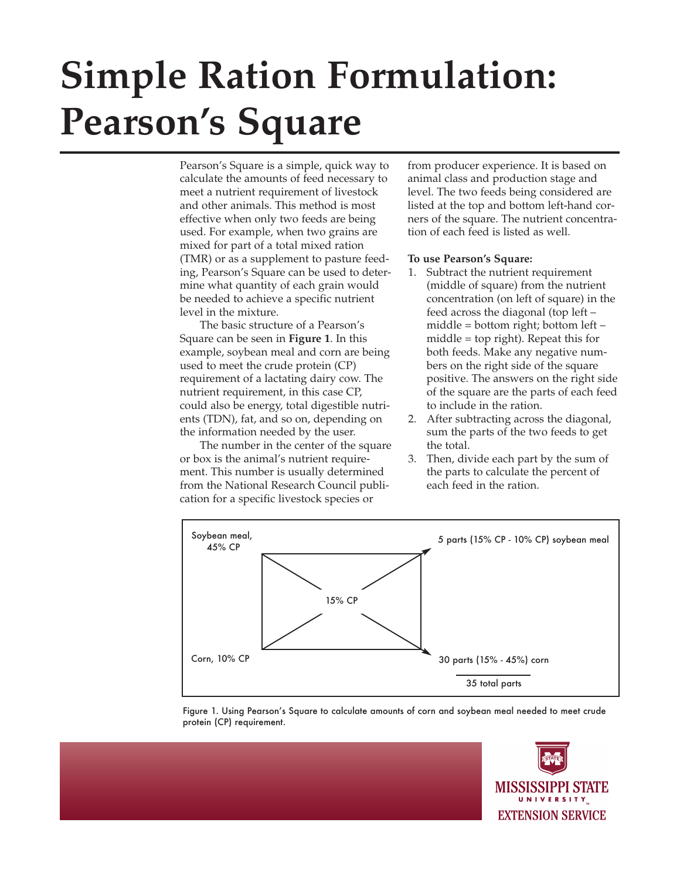# **Simple Ration Formulation: Pearson's Square**

Pearson's Square is a simple, quick way to calculate the amounts of feed necessary to meet a nutrient requirement of livestock and other animals. This method is most effective when only two feeds are being used. For example, when two grains are mixed for part of a total mixed ration (TMR) or as a supplement to pasture feeding, Pearson's Square can be used to determine what quantity of each grain would be needed to achieve a specific nutrient level in the mixture.

The basic structure of a Pearson's Square can be seen in **Figure 1**. In this example, soybean meal and corn are being used to meet the crude protein (CP) requirement of a lactating dairy cow. The nutrient requirement, in this case CP, could also be energy, total digestible nutrients (TDN), fat, and so on, depending on the information needed by the user.

The number in the center of the square or box is the animal's nutrient requirement. This number is usually determined from the National Research Council publication for a specific livestock species or

from producer experience. It is based on animal class and production stage and level. The two feeds being considered are listed at the top and bottom left-hand corners of the square. The nutrient concentration of each feed is listed as well.

## **To use Pearson's Square:**

- 1. Subtract the nutrient requirement (middle of square) from the nutrient concentration (on left of square) in the feed across the diagonal (top left – middle = bottom right; bottom left – middle = top right). Repeat this for both feeds. Make any negative numbers on the right side of the square positive. The answers on the right side of the square are the parts of each feed to include in the ration.
- 2. After subtracting across the diagonal, sum the parts of the two feeds to get the total.
- 3. Then, divide each part by the sum of the parts to calculate the percent of each feed in the ration.



Figure 1. Using Pearson's Square to calculate amounts of corn and soybean meal needed to meet crude protein (CP) requirement.

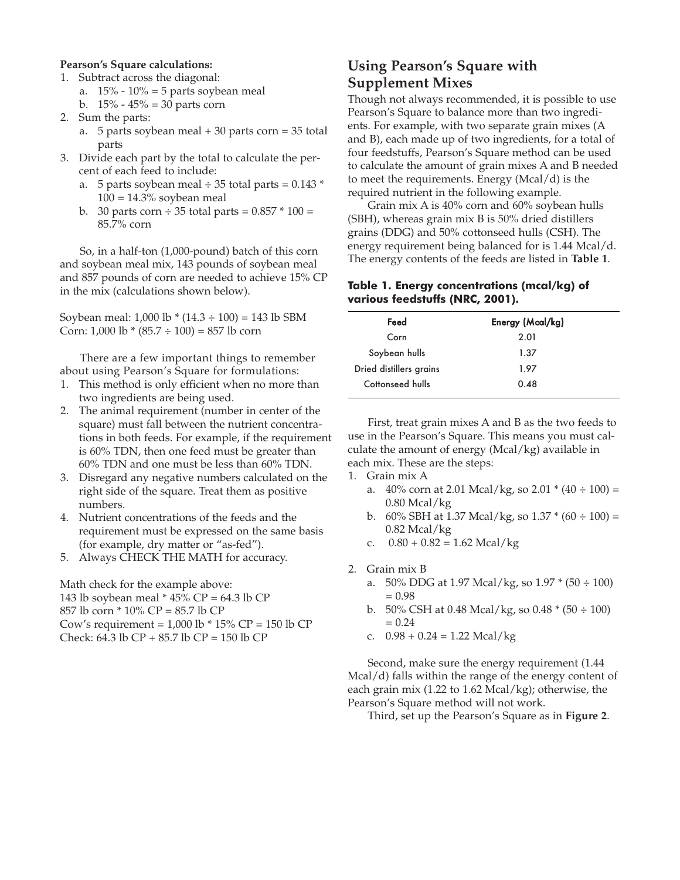## **Pearson's Square calculations:**

- 1. Subtract across the diagonal:
	- a.  $15\%$   $10\%$  = 5 parts soybean meal
	- b.  $15\% 45\% = 30$  parts corn
- 2. Sum the parts:
	- a. 5 parts soybean meal + 30 parts corn = 35 total parts
- 3. Divide each part by the total to calculate the percent of each feed to include:
	- a. 5 parts soybean meal  $\div$  35 total parts = 0.143  $^*$  $100 = 14.3\%$  soybean meal
	- b. 30 parts corn  $\div$  35 total parts = 0.857  $*$  100 = 85.7% corn

So, in a half-ton (1,000-pound) batch of this corn and soybean meal mix, 143 pounds of soybean meal and 857 pounds of corn are needed to achieve 15% CP in the mix (calculations shown below).

Soybean meal: 1,000 lb \* (14.3 ÷ 100) = 143 lb SBM Corn:  $1,000 \text{ lb} * (85.7 \div 100) = 857 \text{ lb}$  corn

There are a few important things to remember about using Pearson's Square for formulations:

- 1. This method is only efficient when no more than two ingredients are being used.
- 2. The animal requirement (number in center of the square) must fall between the nutrient concentrations in both feeds. For example, if the requirement is 60% TDN, then one feed must be greater than 60% TDN and one must be less than 60% TDN.
- 3. Disregard any negative numbers calculated on the right side of the square. Treat them as positive numbers.
- 4. Nutrient concentrations of the feeds and the requirement must be expressed on the same basis (for example, dry matter or "as-fed").
- 5. Always CHECK THE MATH for accuracy.

Math check for the example above: 143 lb soybean meal \* 45% CP = 64.3 lb CP 857 lb corn \* 10% CP = 85.7 lb CP Cow's requirement =  $1,000$  lb  $*$  15% CP = 150 lb CP Check: 64.3 lb CP + 85.7 lb CP = 150 lb CP

## **Using Pearson's Square with Supplement Mixes**

Though not always recommended, it is possible to use Pearson's Square to balance more than two ingredients. For example, with two separate grain mixes (A and B), each made up of two ingredients, for a total of four feedstuffs, Pearson's Square method can be used to calculate the amount of grain mixes A and B needed to meet the requirements. Energy  $(Mcal/d)$  is the required nutrient in the following example.

Grain mix A is 40% corn and 60% soybean hulls (SBH), whereas grain mix B is 50% dried distillers grains (DDG) and 50% cottonseed hulls (CSH). The energy requirement being balanced for is 1.44 Mcal/d. The energy contents of the feeds are listed in **Table 1**.

## **Table 1. Energy concentrations (mcal/kg) of various feedstuffs (NRC, 2001).**

| Feed                    | Energy (Mcal/kg) |
|-------------------------|------------------|
| Corn                    | 2.01             |
| Soybean hulls           | 1.37             |
| Dried distillers grains | 1.97             |
| Cottonseed hulls        | 0.48             |

First, treat grain mixes A and B as the two feeds to use in the Pearson's Square. This means you must calculate the amount of energy (Mcal/kg) available in each mix. These are the steps:

- 1. Grain mix A
	- a.  $40\%$  corn at 2.01 Mcal/kg, so 2.01  $*(40 \div 100) =$ 0.80 Mcal/kg
	- b. 60% SBH at 1.37 Mcal/kg, so  $1.37 * (60 \div 100) =$ 0.82 Mcal/kg
	- c.  $0.80 + 0.82 = 1.62$  Mcal/kg
- 2. Grain mix B
	- a. 50% DDG at 1.97 Mcal/kg, so  $1.97 * (50 \div 100)$  $= 0.98$
	- b. 50% CSH at 0.48 Mcal/kg, so 0.48  $*(50 \div 100)$  $= 0.24$
	- c.  $0.98 + 0.24 = 1.22$  Mcal/kg

Second, make sure the energy requirement (1.44 Mcal/d) falls within the range of the energy content of each grain mix (1.22 to 1.62 Mcal/kg); otherwise, the Pearson's Square method will not work.

Third, set up the Pearson's Square as in **Figure 2**.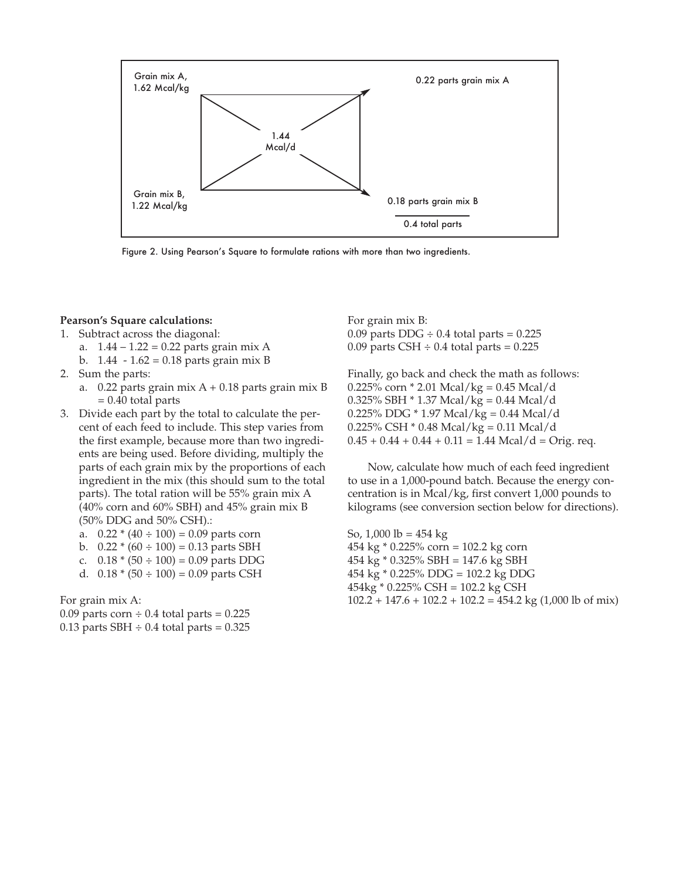

Figure 2. Using Pearson's Square to formulate rations with more than two ingredients.

## **Pearson's Square calculations:**

- 1. Subtract across the diagonal:
	- a.  $1.44 1.22 = 0.22$  parts grain mix A
	- b. 1.44 1.62 = 0.18 parts grain mix B
- 2. Sum the parts:
	- a.  $0.22$  parts grain mix A + 0.18 parts grain mix B  $= 0.40$  total parts
- 3. Divide each part by the total to calculate the percent of each feed to include. This step varies from the first example, because more than two ingredients are being used. Before dividing, multiply the parts of each grain mix by the proportions of each ingredient in the mix (this should sum to the total parts). The total ration will be 55% grain mix A (40% corn and 60% SBH) and 45% grain mix B (50% DDG and 50% CSH).:
	- a.  $0.22 * (40 \div 100) = 0.09$  parts corn
	- b.  $0.22 * (60 \div 100) = 0.13$  parts SBH
	- c.  $0.18 * (50 \div 100) = 0.09$  parts DDG
	- d.  $0.18 * (50 \div 100) = 0.09$  parts CSH

For grain mix A:

0.09 parts corn  $\div$  0.4 total parts = 0.225 0.13 parts SBH  $\div$  0.4 total parts = 0.325 For grain mix B: 0.09 parts  $DDG \div 0.4$  total parts = 0.225 0.09 parts CSH  $\div$  0.4 total parts = 0.225

Finally, go back and check the math as follows: 0.225% corn  $*$  2.01 Mcal/kg = 0.45 Mcal/d 0.325% SBH \* 1.37 Mcal/kg = 0.44 Mcal/d 0.225% DDG \* 1.97 Mcal/kg = 0.44 Mcal/d 0.225% CSH \* 0.48 Mcal/kg = 0.11 Mcal/d  $0.45 + 0.44 + 0.44 + 0.11 = 1.44$  Mcal/d = Orig. req.

Now, calculate how much of each feed ingredient to use in a 1,000-pound batch. Because the energy concentration is in Mcal/kg, first convert 1,000 pounds to kilograms (see conversion section below for directions).

So,  $1,000$  lb =  $454$  kg 454 kg \* 0.225% corn = 102.2 kg corn 454 kg \* 0.325% SBH = 147.6 kg SBH 454 kg \* 0.225% DDG = 102.2 kg DDG 454kg \* 0.225% CSH = 102.2 kg CSH  $102.2 + 147.6 + 102.2 + 102.2 = 454.2 \text{ kg} (1,000 \text{ lb of mix})$